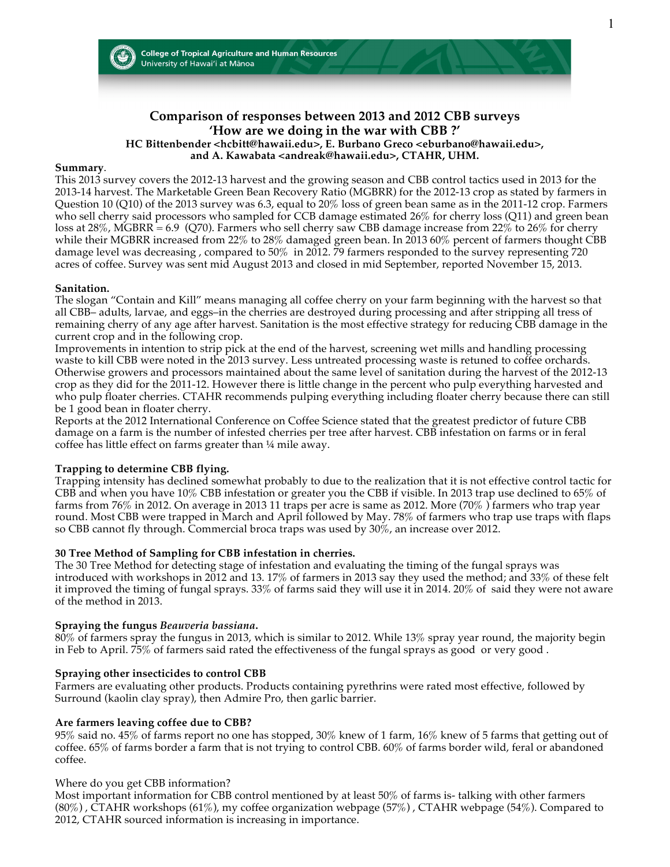



# **Comparison of responses between 2013 and 2012 CBB surveys 'How are we doing in the war with CBB ?'**

#### **HC Bittenbender <hcbitt@hawaii.edu>, E. Burbano Greco <eburbano@hawaii.edu>, and A. Kawabata <andreak@hawaii.edu>, CTAHR, UHM.**

#### **Summary**.

This 2013 survey covers the 2012-13 harvest and the growing season and CBB control tactics used in 2013 for the 2013-14 harvest. The Marketable Green Bean Recovery Ratio (MGBRR) for the 2012-13 crop as stated by farmers in Question 10 (Q10) of the 2013 survey was 6.3, equal to 20% loss of green bean same as in the 2011-12 crop. Farmers who sell cherry said processors who sampled for CCB damage estimated 26% for cherry loss (Q11) and green bean loss at 28%, MGBRR = 6.9 (Q70). Farmers who sell cherry saw CBB damage increase from 22% to 26% for cherry while their MGBRR increased from 22% to 28% damaged green bean. In 2013 60% percent of farmers thought CBB damage level was decreasing , compared to 50% in 2012. 79 farmers responded to the survey representing 720 acres of coffee. Survey was sent mid August 2013 and closed in mid September, reported November 15, 2013.

#### **Sanitation.**

The slogan "Contain and Kill" means managing all coffee cherry on your farm beginning with the harvest so that all CBB– adults, larvae, and eggs–in the cherries are destroyed during processing and after stripping all tress of remaining cherry of any age after harvest. Sanitation is the most effective strategy for reducing CBB damage in the current crop and in the following crop.

Improvements in intention to strip pick at the end of the harvest, screening wet mills and handling processing waste to kill CBB were noted in the 2013 survey. Less untreated processing waste is retuned to coffee orchards. Otherwise growers and processors maintained about the same level of sanitation during the harvest of the 2012-13 crop as they did for the 2011-12. However there is little change in the percent who pulp everything harvested and who pulp floater cherries. CTAHR recommends pulping everything including floater cherry because there can still be 1 good bean in floater cherry.

Reports at the 2012 International Conference on Coffee Science stated that the greatest predictor of future CBB damage on a farm is the number of infested cherries per tree after harvest. CBB infestation on farms or in feral coffee has little effect on farms greater than ¼ mile away.

### **Trapping to determine CBB flying.**

Trapping intensity has declined somewhat probably to due to the realization that it is not effective control tactic for CBB and when you have 10% CBB infestation or greater you the CBB if visible. In 2013 trap use declined to 65% of farms from 76% in 2012. On average in 2013 11 traps per acre is same as 2012. More (70% ) farmers who trap year round. Most CBB were trapped in March and April followed by May. 78% of farmers who trap use traps with flaps so CBB cannot fly through. Commercial broca traps was used by 30%, an increase over 2012.

### **30 Tree Method of Sampling for CBB infestation in cherries.**

The 30 Tree Method for detecting stage of infestation and evaluating the timing of the fungal sprays was introduced with workshops in 2012 and 13. 17% of farmers in 2013 say they used the method; and 33% of these felt it improved the timing of fungal sprays. 33% of farms said they will use it in 2014. 20% of said they were not aware of the method in 2013.

#### **Spraying the fungus** *Beauveria bassiana***.**

80% of farmers spray the fungus in 2013, which is similar to 2012. While 13% spray year round, the majority begin in Feb to April. 75% of farmers said rated the effectiveness of the fungal sprays as good or very good .

#### **Spraying other insecticides to control CBB**

Farmers are evaluating other products. Products containing pyrethrins were rated most effective, followed by Surround (kaolin clay spray), then Admire Pro, then garlic barrier.

#### **Are farmers leaving coffee due to CBB?**

95% said no. 45% of farms report no one has stopped, 30% knew of 1 farm, 16% knew of 5 farms that getting out of coffee. 65% of farms border a farm that is not trying to control CBB. 60% of farms border wild, feral or abandoned coffee.

#### Where do you get CBB information?

Most important information for CBB control mentioned by at least 50% of farms is- talking with other farmers (80%) , CTAHR workshops (61%), my coffee organization webpage (57%) , CTAHR webpage (54%). Compared to 2012, CTAHR sourced information is increasing in importance.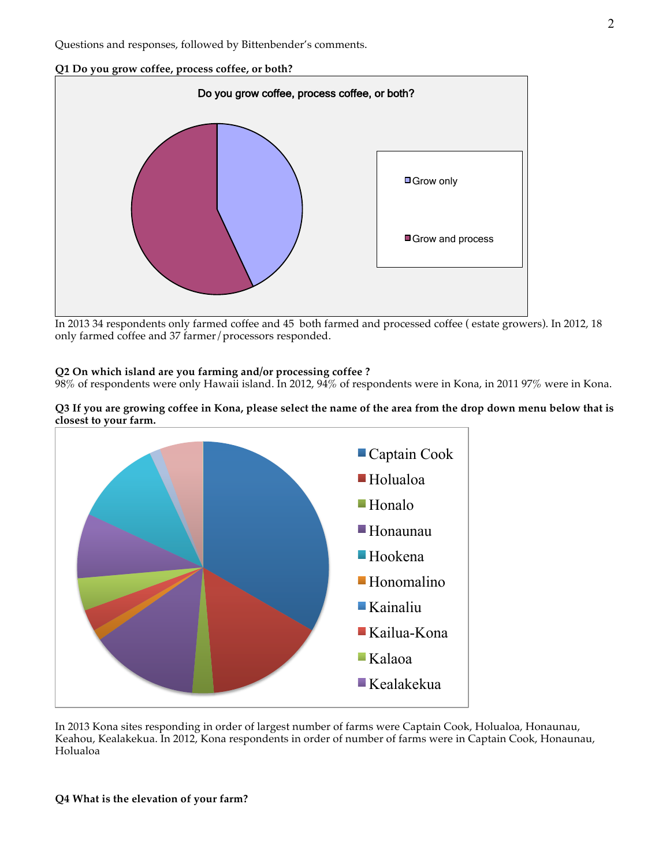### **Q1 Do you grow coffee, process coffee, or both?**



In 2013 34 respondents only farmed coffee and 45 both farmed and processed coffee ( estate growers). In 2012, 18 only farmed coffee and 37 farmer/processors responded.

#### **Q2 On which island are you farming and/or processing coffee ?**

98% of respondents were only Hawaii island. In 2012, 94% of respondents were in Kona, in 2011 97% were in Kona.

#### **Q3 If you are growing coffee in Kona, please select the name of the area from the drop down menu below that is closest to your farm.**



In 2013 Kona sites responding in order of largest number of farms were Captain Cook, Holualoa, Honaunau, Keahou, Kealakekua. In 2012, Kona respondents in order of number of farms were in Captain Cook, Honaunau, Holualoa

#### **Q4 What is the elevation of your farm?**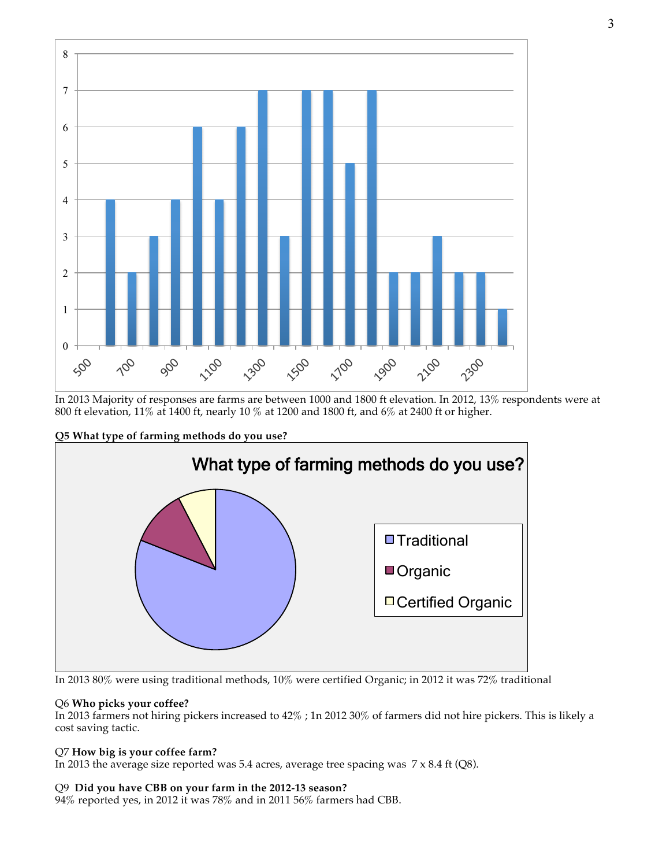

In 2013 Majority of responses are farms are between 1000 and 1800 ft elevation. In 2012, 13% respondents were at 800 ft elevation, 11% at 1400 ft, nearly 10 % at 1200 and 1800 ft, and 6% at 2400 ft or higher.





In 2013 80% were using traditional methods, 10% were certified Organic; in 2012 it was 72% traditional

# Q6 **Who picks your coffee?**

In 2013 farmers not hiring pickers increased to 42% ; 1n 2012 30% of farmers did not hire pickers. This is likely a cost saving tactic.

# Q7 **How big is your coffee farm?**

In 2013 the average size reported was 5.4 acres, average tree spacing was 7 x 8.4 ft (Q8).

### Q9 **Did you have CBB on your farm in the 2012-13 season?**

94% reported yes, in 2012 it was 78% and in 2011 56% farmers had CBB.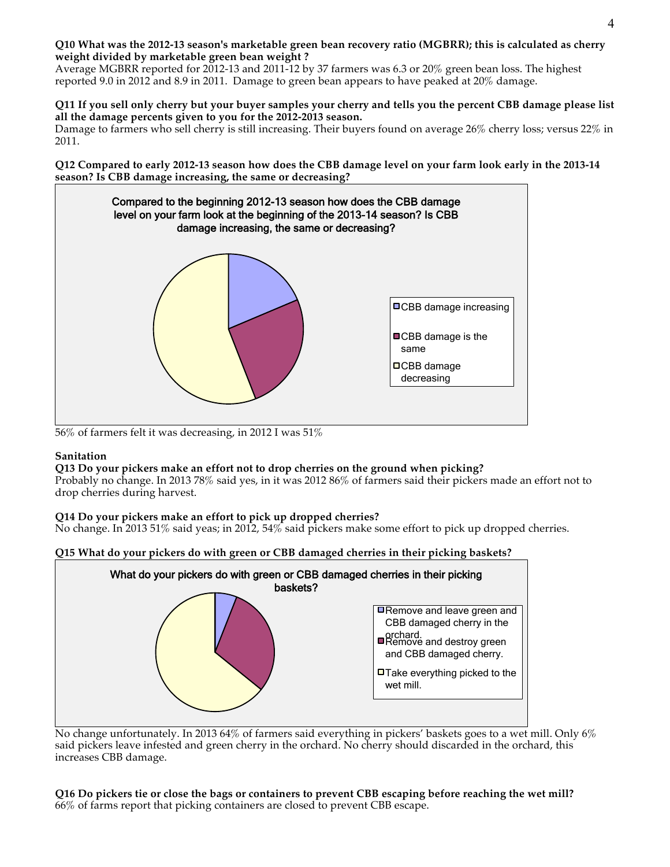### **Q10 What was the 2012-13 season's marketable green bean recovery ratio (MGBRR); this is calculated as cherry weight divided by marketable green bean weight ?**

Average MGBRR reported for 2012-13 and 2011-12 by 37 farmers was 6.3 or 20% green bean loss. The highest reported 9.0 in 2012 and 8.9 in 2011. Damage to green bean appears to have peaked at 20% damage.

#### **Q11 If you sell only cherry but your buyer samples your cherry and tells you the percent CBB damage please list all the damage percents given to you for the 2012-2013 season.**

Damage to farmers who sell cherry is still increasing. Their buyers found on average 26% cherry loss; versus 22% in 2011.

**Q12 Compared to early 2012-13 season how does the CBB damage level on your farm look early in the 2013-14 season? Is CBB damage increasing, the same or decreasing?**



56% of farmers felt it was decreasing, in 2012 I was 51%

### **Sanitation**

### **Q13 Do your pickers make an effort not to drop cherries on the ground when picking?**

Probably no change. In 2013 78% said yes, in it was 2012 86% of farmers said their pickers made an effort not to drop cherries during harvest.

### **Q14 Do your pickers make an effort to pick up dropped cherries?**

No change. In 2013 51% said yeas; in 2012, 54% said pickers make some effort to pick up dropped cherries.





No change unfortunately. In 2013 64% of farmers said everything in pickers' baskets goes to a wet mill. Only 6% said pickers leave infested and green cherry in the orchard. No cherry should discarded in the orchard, this increases CBB damage.

**Q16 Do pickers tie or close the bags or containers to prevent CBB escaping before reaching the wet mill?** 66% of farms report that picking containers are closed to prevent CBB escape.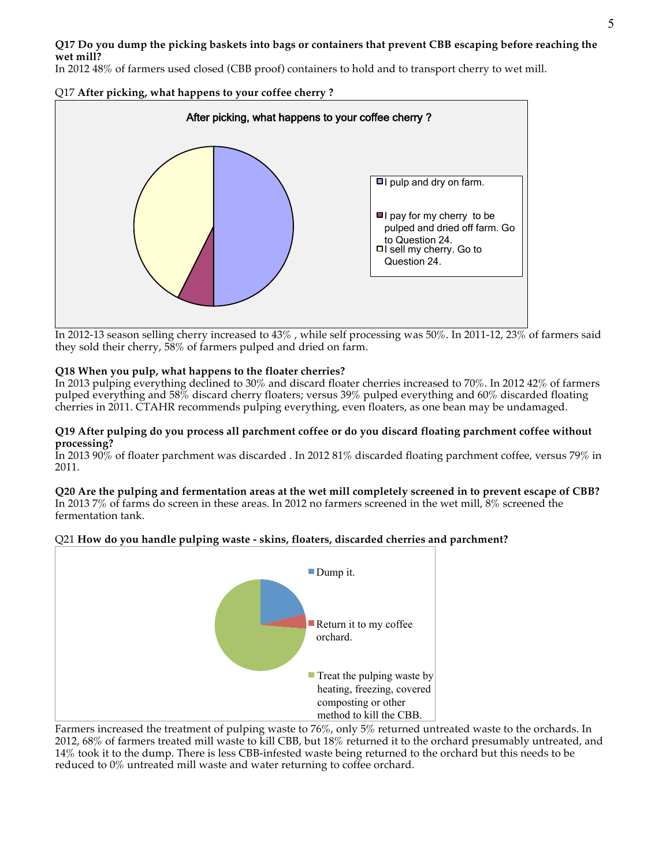# **Q17 Do you dump the picking baskets into bags or containers that prevent CBB escaping before reaching the wet mill?**

In 2012 48% of farmers used closed (CBB proof) containers to hold and to transport cherry to wet mill.

Q17 **After picking, what happens to your coffee cherry ?**



In 2012-13 season selling cherry increased to 43% , while self processing was 50%. In 2011-12, 23% of farmers said they sold their cherry, 58% of farmers pulped and dried on farm.

### **Q18 When you pulp, what happens to the floater cherries?**

In 2013 pulping everything declined to 30% and discard floater cherries increased to 70%. In 2012 42% of farmers pulped everything and 58% discard cherry floaters; versus 39% pulped everything and 60% discarded floating cherries in 2011. CTAHR recommends pulping everything, even floaters, as one bean may be undamaged.

#### **Q19 After pulping do you process all parchment coffee or do you discard floating parchment coffee without processing?**

In 2013 90% of floater parchment was discarded . In 2012 81% discarded floating parchment coffee, versus 79% in 2011.

#### **Q20 Are the pulping and fermentation areas at the wet mill completely screened in to prevent escape of CBB?** In 2013 7% of farms do screen in these areas. In 2012 no farmers screened in the wet mill, 8% screened the fermentation tank.

# Q21 **How do you handle pulping waste - skins, floaters, discarded cherries and parchment?**



Farmers increased the treatment of pulping waste to 76%, only 5% returned untreated waste to the orchards. In 2012, 68% of farmers treated mill waste to kill CBB, but 18% returned it to the orchard presumably untreated, and 14% took it to the dump. There is less CBB-infested waste being returned to the orchard but this needs to be reduced to 0% untreated mill waste and water returning to coffee orchard.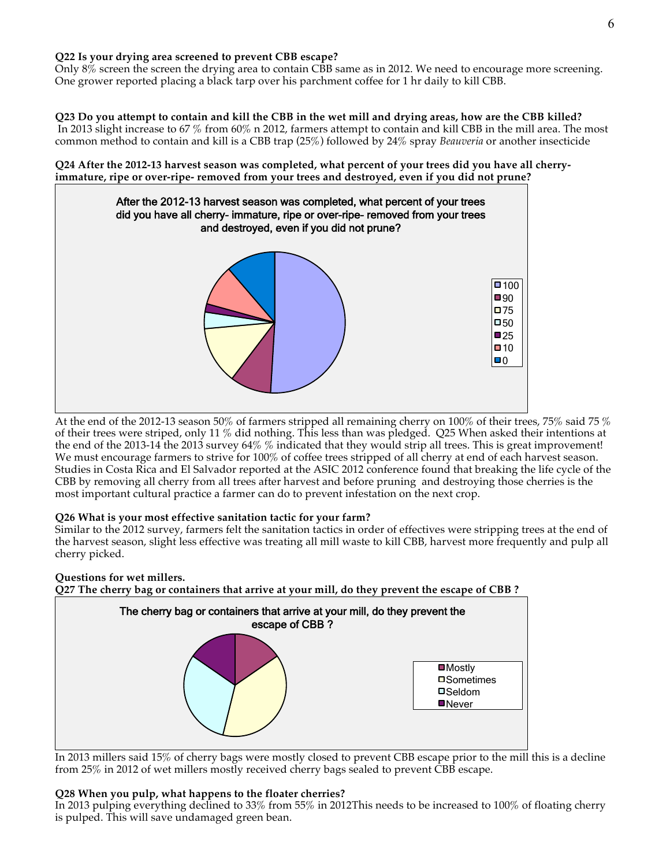### **Q22 Is your drying area screened to prevent CBB escape?**

Only 8% screen the screen the drying area to contain CBB same as in 2012. We need to encourage more screening. One grower reported placing a black tarp over his parchment coffee for 1 hr daily to kill CBB.

#### **Q23 Do you attempt to contain and kill the CBB in the wet mill and drying areas, how are the CBB killed?** In 2013 slight increase to 67 % from 60% n 2012, farmers attempt to contain and kill CBB in the mill area. The most common method to contain and kill is a CBB trap (25%) followed by 24% spray *Beauveria* or another insecticide

### **Q24 After the 2012-13 harvest season was completed, what percent of your trees did you have all cherryimmature, ripe or over-ripe- removed from your trees and destroyed, even if you did not prune?**



At the end of the 2012-13 season 50% of farmers stripped all remaining cherry on 100% of their trees, 75% said 75 % of their trees were striped, only 11 % did nothing. This less than was pledged. Q25 When asked their intentions at the end of the 2013-14 the 2013 survey 64% % indicated that they would strip all trees. This is great improvement! We must encourage farmers to strive for 100% of coffee trees stripped of all cherry at end of each harvest season. Studies in Costa Rica and El Salvador reported at the ASIC 2012 conference found that breaking the life cycle of the CBB by removing all cherry from all trees after harvest and before pruning and destroying those cherries is the most important cultural practice a farmer can do to prevent infestation on the next crop.

# **Q26 What is your most effective sanitation tactic for your farm?**

Similar to the 2012 survey, farmers felt the sanitation tactics in order of effectives were stripping trees at the end of the harvest season, slight less effective was treating all mill waste to kill CBB, harvest more frequently and pulp all cherry picked.

# **Questions for wet millers.**

**Q27 The cherry bag or containers that arrive at your mill, do they prevent the escape of CBB ?**



In 2013 millers said 15% of cherry bags were mostly closed to prevent CBB escape prior to the mill this is a decline from 25% in 2012 of wet millers mostly received cherry bags sealed to prevent CBB escape.

### **Q28 When you pulp, what happens to the floater cherries?**

In 2013 pulping everything declined to 33% from 55% in 2012This needs to be increased to 100% of floating cherry is pulped. This will save undamaged green bean.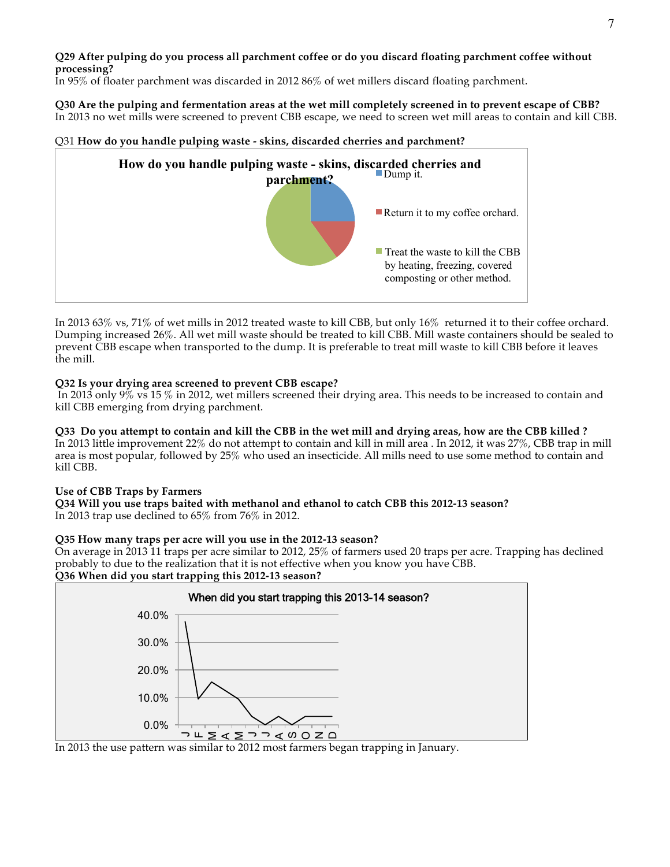**Q29 After pulping do you process all parchment coffee or do you discard floating parchment coffee without processing?**

In 95% of floater parchment was discarded in 2012 86% of wet millers discard floating parchment.

**Q30 Are the pulping and fermentation areas at the wet mill completely screened in to prevent escape of CBB?** In 2013 no wet mills were screened to prevent CBB escape, we need to screen wet mill areas to contain and kill CBB.

# Q31 **How do you handle pulping waste - skins, discarded cherries and parchment?**



In 2013 63% vs, 71% of wet mills in 2012 treated waste to kill CBB, but only 16% returned it to their coffee orchard. Dumping increased 26%. All wet mill waste should be treated to kill CBB. Mill waste containers should be sealed to prevent CBB escape when transported to the dump. It is preferable to treat mill waste to kill CBB before it leaves the mill.

### **Q32 Is your drying area screened to prevent CBB escape?**

In 2013 only 9% vs 15 % in 2012, wet millers screened their drying area. This needs to be increased to contain and kill CBB emerging from drying parchment.

# **Q33 Do you attempt to contain and kill the CBB in the wet mill and drying areas, how are the CBB killed ?**

In 2013 little improvement 22% do not attempt to contain and kill in mill area . In 2012, it was 27%, CBB trap in mill area is most popular, followed by 25% who used an insecticide. All mills need to use some method to contain and kill CBB.

### **Use of CBB Traps by Farmers**

**Q34 Will you use traps baited with methanol and ethanol to catch CBB this 2012-13 season?** In 2013 trap use declined to 65% from 76% in 2012.

# **Q35 How many traps per acre will you use in the 2012-13 season?**

On average in 2013 11 traps per acre similar to 2012, 25% of farmers used 20 traps per acre. Trapping has declined probably to due to the realization that it is not effective when you know you have CBB. **Q36 When did you start trapping this 2012-13 season?**



In 2013 the use pattern was similar to 2012 most farmers began trapping in January.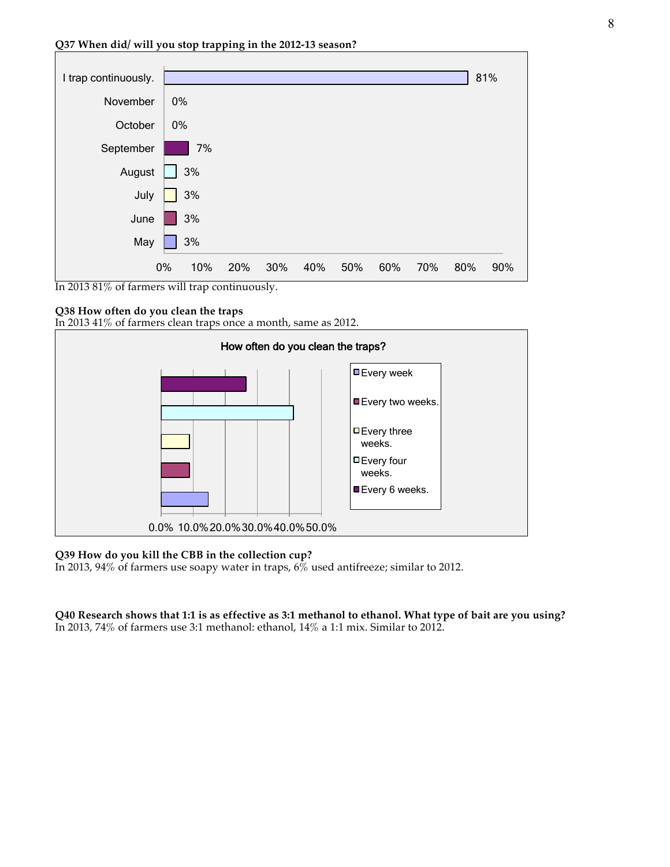

In 2013 81% of farmers will trap continuously.

#### **Q38 How often do you clean the traps**

In 2013 41% of farmers clean traps once a month, same as 2012.



#### **Q39 How do you kill the CBB in the collection cup?**

In 2013, 94% of farmers use soapy water in traps,  $6\%$  used antifreeze; similar to 2012.

**Q40 Research shows that 1:1 is as effective as 3:1 methanol to ethanol. What type of bait are you using?** In 2013, 74% of farmers use 3:1 methanol: ethanol, 14% a 1:1 mix. Similar to 2012.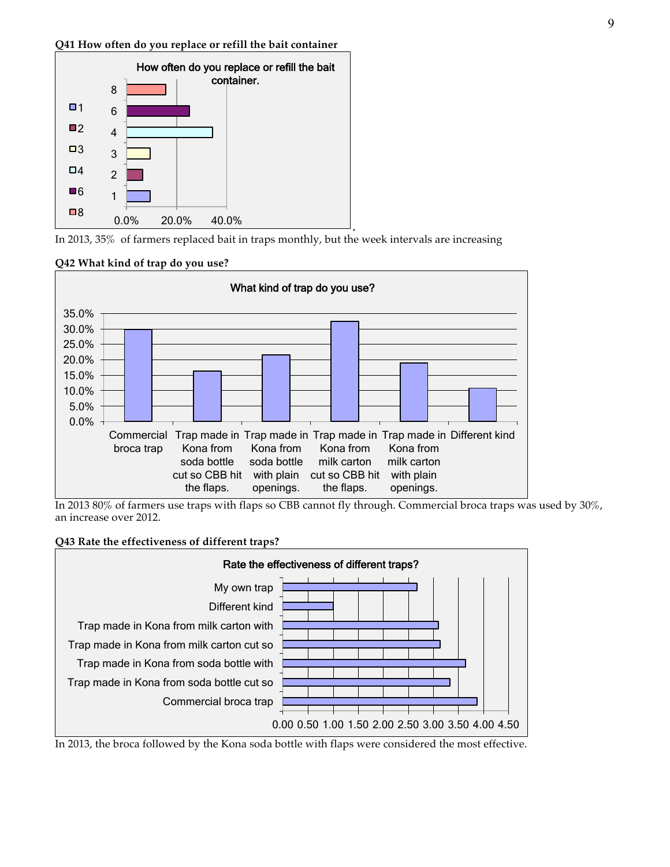#### **Q41 How often do you replace or refill the bait container**



**.** In 2013, 35% of farmers replaced bait in traps monthly, but the week intervals are increasing

### **Q42 What kind of trap do you use?**



In 2013 80% of farmers use traps with flaps so CBB cannot fly through. Commercial broca traps was used by 30%, an increase over 2012.

### **Q43 Rate the effectiveness of different traps?**



In 2013, the broca followed by the Kona soda bottle with flaps were considered the most effective.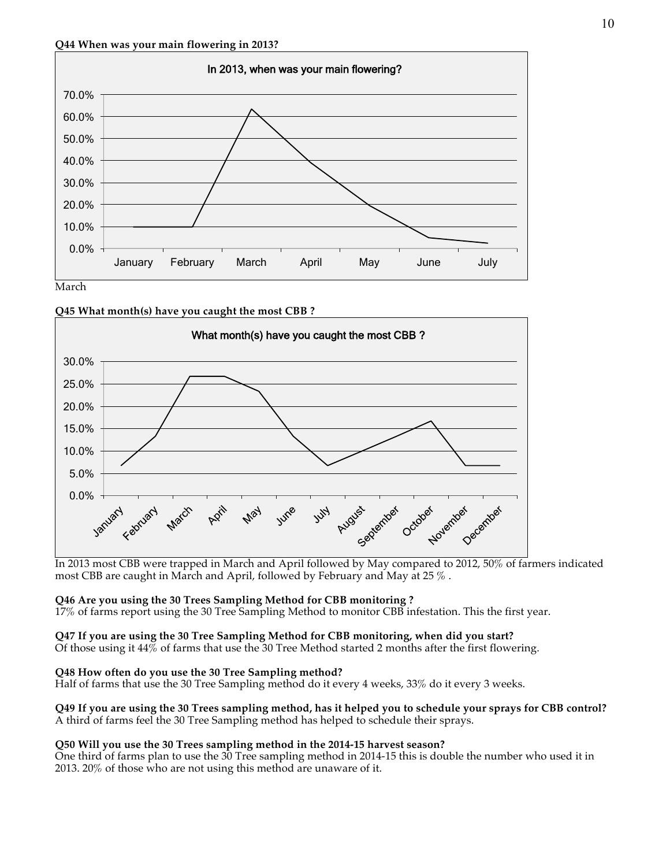

**Q45 What month(s) have you caught the most CBB ?**



In 2013 most CBB were trapped in March and April followed by May compared to 2012, 50% of farmers indicated most CBB are caught in March and April, followed by February and May at 25 % .

**Q46 Are you using the 30 Trees Sampling Method for CBB monitoring ?**

17% of farms report using the 30 Tree Sampling Method to monitor CBB infestation. This the first year.

**Q47 If you are using the 30 Tree Sampling Method for CBB monitoring, when did you start?**

Of those using it 44% of farms that use the 30 Tree Method started 2 months after the first flowering.

# **Q48 How often do you use the 30 Tree Sampling method?**

Half of farms that use the 30 Tree Sampling method do it every 4 weeks, 33% do it every 3 weeks.

### **Q49 If you are using the 30 Trees sampling method, has it helped you to schedule your sprays for CBB control?** A third of farms feel the 30 Tree Sampling method has helped to schedule their sprays.

# **Q50 Will you use the 30 Trees sampling method in the 2014-15 harvest season?**

One third of farms plan to use the 30 Tree sampling method in 2014-15 this is double the number who used it in 2013. 20% of those who are not using this method are unaware of it.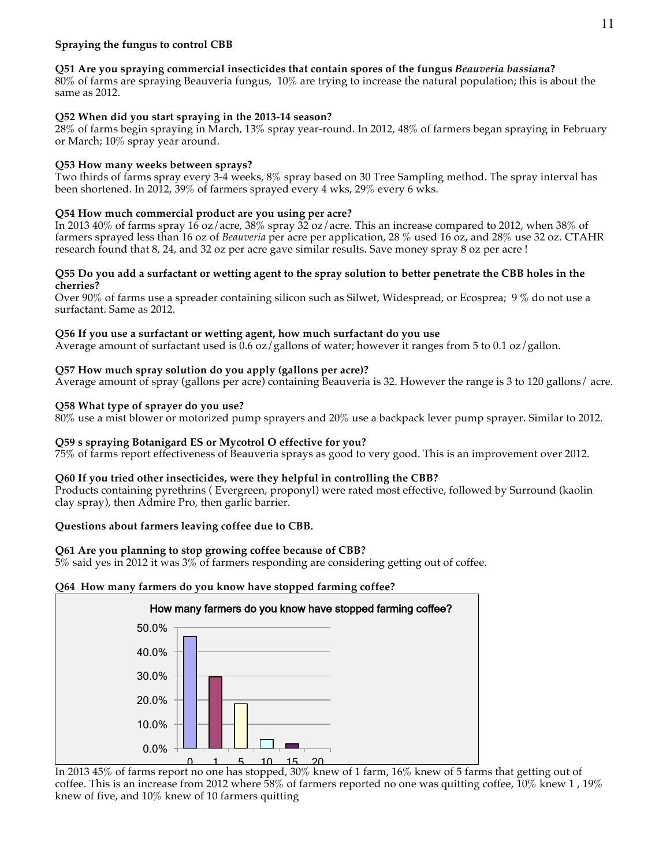# **Q51 Are you spraying commercial insecticides that contain spores of the fungus** *Beauveria bassiana***?**

80% of farms are spraying Beauveria fungus, 10% are trying to increase the natural population; this is about the same as 2012.

# **Q52 When did you start spraying in the 2013-14 season?**

28% of farms begin spraying in March, 13% spray year-round. In 2012, 48% of farmers began spraying in February or March; 10% spray year around.

# **Q53 How many weeks between sprays?**

Two thirds of farms spray every 3-4 weeks, 8% spray based on 30 Tree Sampling method. The spray interval has been shortened. In 2012, 39% of farmers sprayed every 4 wks, 29% every 6 wks.

# **Q54 How much commercial product are you using per acre?**

In 2013 40% of farms spray 16 oz/acre, 38% spray 32 oz/acre. This an increase compared to 2012, when 38% of farmers sprayed less than 16 oz of *Beauveria* per acre per application, 28 % used 16 oz, and 28% use 32 oz. CTAHR research found that 8, 24, and 32 oz per acre gave similar results. Save money spray 8 oz per acre !

### **Q55 Do you add a surfactant or wetting agent to the spray solution to better penetrate the CBB holes in the cherries?**

Over 90% of farms use a spreader containing silicon such as Silwet, Widespread, or Ecosprea; 9 % do not use a surfactant. Same as 2012.

# **Q56 If you use a surfactant or wetting agent, how much surfactant do you use**

Average amount of surfactant used is 0.6 oz/gallons of water; however it ranges from 5 to 0.1 oz/gallon.

# **Q57 How much spray solution do you apply (gallons per acre)?**

Average amount of spray (gallons per acre) containing Beauveria is 32. However the range is 3 to 120 gallons/ acre.

# **Q58 What type of sprayer do you use?**

80% use a mist blower or motorized pump sprayers and 20% use a backpack lever pump sprayer. Similar to 2012.

# **Q59 s spraying Botanigard ES or Mycotrol O effective for you?**

75% of farms report effectiveness of Beauveria sprays as good to very good. This is an improvement over 2012.

# **Q60 If you tried other insecticides, were they helpful in controlling the CBB?**

Products containing pyrethrins ( Evergreen, proponyl) were rated most effective, followed by Surround (kaolin clay spray), then Admire Pro, then garlic barrier.

# **Questions about farmers leaving coffee due to CBB.**

# **Q61 Are you planning to stop growing coffee because of CBB?**

5% said yes in 2012 it was 3% of farmers responding are considering getting out of coffee.

# **Q64 How many farmers do you know have stopped farming coffee?**



In 2013 45% of farms report no one has stopped, 30% knew of 1 farm, 16% knew of 5 farms that getting out of coffee. This is an increase from 2012 where 58% of farmers reported no one was quitting coffee, 10% knew 1 , 19% knew of five, and 10% knew of 10 farmers quitting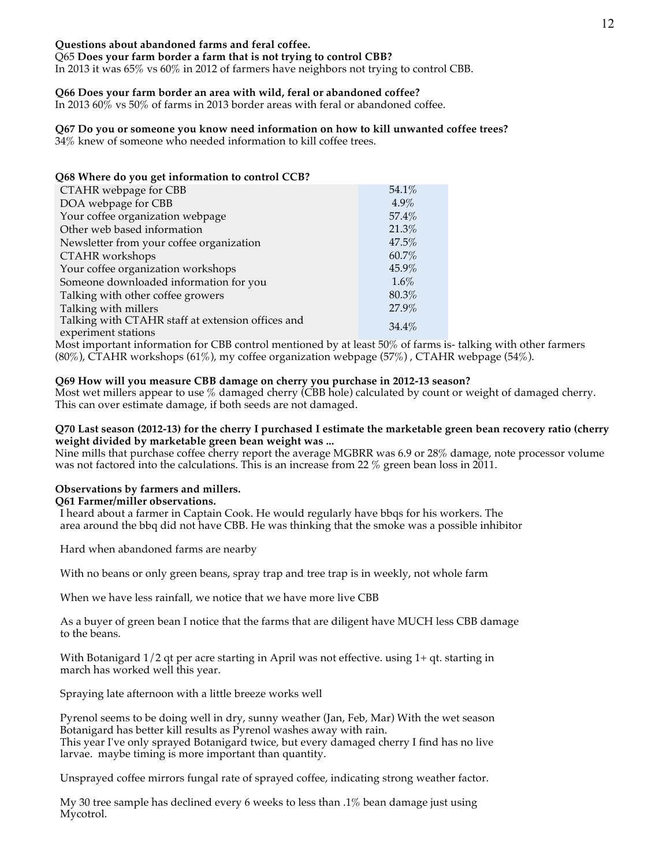### **Questions about abandoned farms and feral coffee.**

Q65 **Does your farm border a farm that is not trying to control CBB?**

In 2013 it was 65% vs 60% in 2012 of farmers have neighbors not trying to control CBB.

### **Q66 Does your farm border an area with wild, feral or abandoned coffee?**

In 2013 60% vs 50% of farms in 2013 border areas with feral or abandoned coffee.

### **Q67 Do you or someone you know need information on how to kill unwanted coffee trees?**

34% knew of someone who needed information to kill coffee trees.

| Q68 Where do you get information to control CCB?  |         |
|---------------------------------------------------|---------|
| CTAHR webpage for CBB                             | 54.1%   |
| DOA webpage for CBB                               | $4.9\%$ |
| Your coffee organization webpage                  | 57.4%   |
| Other web based information                       | 21.3%   |
| Newsletter from your coffee organization          | 47.5%   |
| CTAHR workshops                                   | 60.7%   |
| Your coffee organization workshops                | 45.9%   |
| Someone downloaded information for you            | 1.6%    |
| Talking with other coffee growers                 | 80.3%   |
| Talking with millers                              | 27.9%   |
| Talking with CTAHR staff at extension offices and | 34.4%   |
| experiment stations                               |         |

Most important information for CBB control mentioned by at least 50% of farms is- talking with other farmers (80%), CTAHR workshops (61%), my coffee organization webpage (57%), CTAHR webpage (54%).

### **Q69 How will you measure CBB damage on cherry you purchase in 2012-13 season?**

Most wet millers appear to use % damaged cherry (CBB hole) calculated by count or weight of damaged cherry. This can over estimate damage, if both seeds are not damaged.

#### **Q70 Last season (2012-13) for the cherry I purchased I estimate the marketable green bean recovery ratio (cherry weight divided by marketable green bean weight was ...**

Nine mills that purchase coffee cherry report the average MGBRR was 6.9 or 28% damage, note processor volume was not factored into the calculations. This is an increase from 22 % green bean loss in 2011.

# **Observations by farmers and millers.**

**Q61 Farmer/miller observations.** I heard about a farmer in Captain Cook. He would regularly have bbqs for his workers. The

area around the bbq did not have CBB. He was thinking that the smoke was a possible inhibitor

Hard when abandoned farms are nearby

With no beans or only green beans, spray trap and tree trap is in weekly, not whole farm

When we have less rainfall, we notice that we have more live CBB

As a buyer of green bean I notice that the farms that are diligent have MUCH less CBB damage to the beans.

With Botanigard 1/2 qt per acre starting in April was not effective. using 1+ qt. starting in march has worked well this year.

Spraying late afternoon with a little breeze works well

Pyrenol seems to be doing well in dry, sunny weather (Jan, Feb, Mar) With the wet season Botanigard has better kill results as Pyrenol washes away with rain. This year I've only sprayed Botanigard twice, but every damaged cherry I find has no live larvae. maybe timing is more important than quantity.

Unsprayed coffee mirrors fungal rate of sprayed coffee, indicating strong weather factor.

My 30 tree sample has declined every 6 weeks to less than .1% bean damage just using Mycotrol.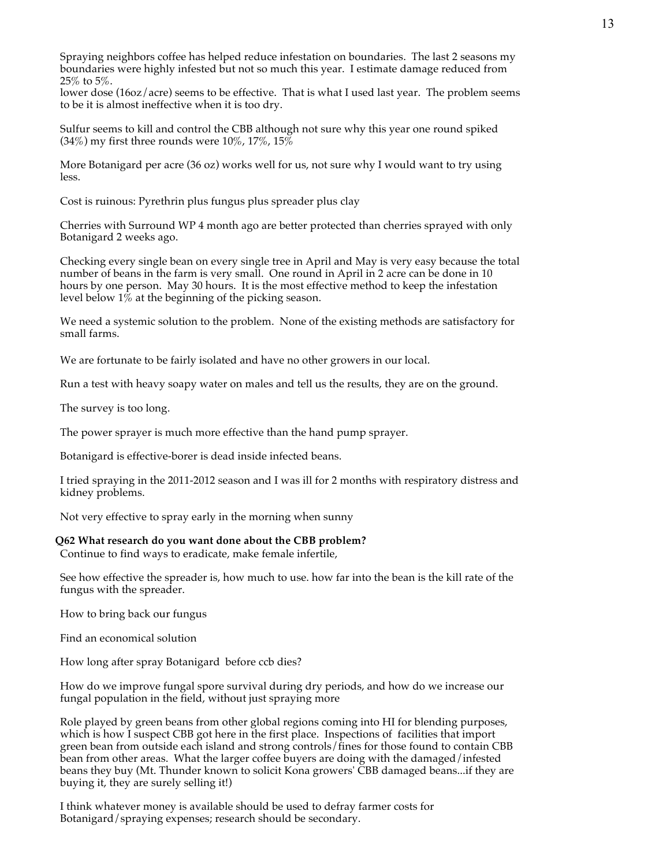Spraying neighbors coffee has helped reduce infestation on boundaries. The last 2 seasons my boundaries were highly infested but not so much this year. I estimate damage reduced from 25% to 5%.

lower dose (16oz/acre) seems to be effective. That is what I used last year. The problem seems to be it is almost ineffective when it is too dry.

Sulfur seems to kill and control the CBB although not sure why this year one round spiked  $(34\%)$  my first three rounds were  $10\%$ ,  $17\%$ ,  $15\%$ 

More Botanigard per acre (36 oz) works well for us, not sure why I would want to try using less.

Cost is ruinous: Pyrethrin plus fungus plus spreader plus clay

Cherries with Surround WP 4 month ago are better protected than cherries sprayed with only Botanigard 2 weeks ago.

Checking every single bean on every single tree in April and May is very easy because the total number of beans in the farm is very small. One round in April in 2 acre can be done in 10 hours by one person. May 30 hours. It is the most effective method to keep the infestation level below  $1\%$  at the beginning of the picking season.

We need a systemic solution to the problem. None of the existing methods are satisfactory for small farms.

We are fortunate to be fairly isolated and have no other growers in our local.

Run a test with heavy soapy water on males and tell us the results, they are on the ground.

The survey is too long.

The power sprayer is much more effective than the hand pump sprayer.

Botanigard is effective-borer is dead inside infected beans.

I tried spraying in the 2011-2012 season and I was ill for 2 months with respiratory distress and kidney problems.

Not very effective to spray early in the morning when sunny

### **Q62 What research do you want done about the CBB problem?**

Continue to find ways to eradicate, make female infertile,

See how effective the spreader is, how much to use. how far into the bean is the kill rate of the fungus with the spreader.

How to bring back our fungus

Find an economical solution

How long after spray Botanigard before ccb dies?

How do we improve fungal spore survival during dry periods, and how do we increase our fungal population in the field, without just spraying more

Role played by green beans from other global regions coming into HI for blending purposes, which is how I suspect CBB got here in the first place. Inspections of facilities that import green bean from outside each island and strong controls/fines for those found to contain CBB bean from other areas. What the larger coffee buyers are doing with the damaged/infested beans they buy (Mt. Thunder known to solicit Kona growers' CBB damaged beans...if they are buying it, they are surely selling it!)

I think whatever money is available should be used to defray farmer costs for Botanigard/spraying expenses; research should be secondary.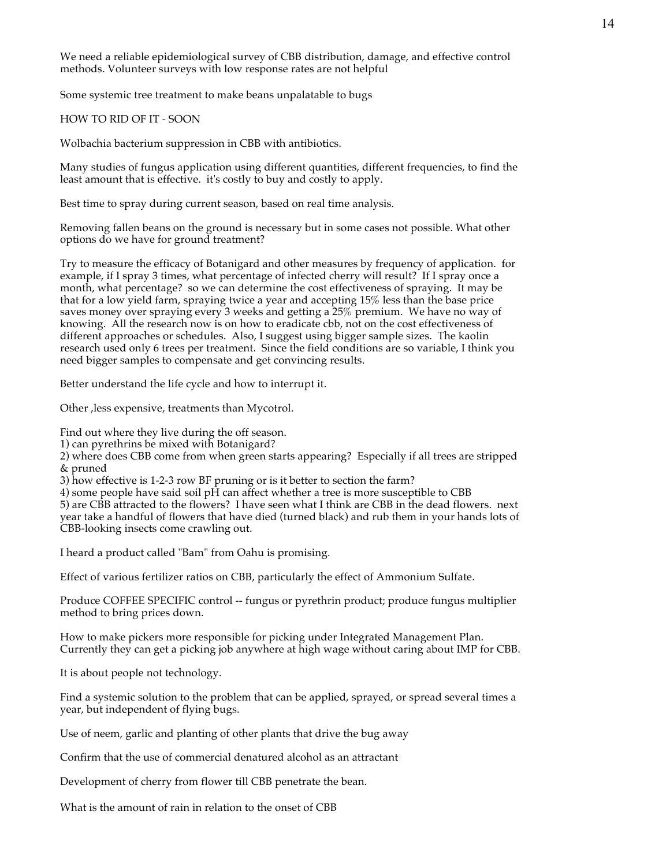We need a reliable epidemiological survey of CBB distribution, damage, and effective control methods. Volunteer surveys with low response rates are not helpful

Some systemic tree treatment to make beans unpalatable to bugs

#### HOW TO RID OF IT - SOON

Wolbachia bacterium suppression in CBB with antibiotics.

Many studies of fungus application using different quantities, different frequencies, to find the least amount that is effective. it's costly to buy and costly to apply.

Best time to spray during current season, based on real time analysis.

Removing fallen beans on the ground is necessary but in some cases not possible. What other options do we have for ground treatment?

Try to measure the efficacy of Botanigard and other measures by frequency of application. for example, if I spray 3 times, what percentage of infected cherry will result? If I spray once a month, what percentage? so we can determine the cost effectiveness of spraying. It may be that for a low yield farm, spraying twice a year and accepting 15% less than the base price saves money over spraying every 3 weeks and getting a 25% premium. We have no way of knowing. All the research now is on how to eradicate cbb, not on the cost effectiveness of different approaches or schedules. Also, I suggest using bigger sample sizes. The kaolin research used only 6 trees per treatment. Since the field conditions are so variable, I think you need bigger samples to compensate and get convincing results.

Better understand the life cycle and how to interrupt it.

Other ,less expensive, treatments than Mycotrol.

Find out where they live during the off season.

1) can pyrethrins be mixed with Botanigard?

2) where does CBB come from when green starts appearing? Especially if all trees are stripped & pruned

3) how effective is 1-2-3 row BF pruning or is it better to section the farm?

4) some people have said soil pH can affect whether a tree is more susceptible to CBB

5) are CBB attracted to the flowers? I have seen what I think are CBB in the dead flowers. next year take a handful of flowers that have died (turned black) and rub them in your hands lots of CBB-looking insects come crawling out.

I heard a product called "Bam" from Oahu is promising.

Effect of various fertilizer ratios on CBB, particularly the effect of Ammonium Sulfate.

Produce COFFEE SPECIFIC control -- fungus or pyrethrin product; produce fungus multiplier method to bring prices down.

How to make pickers more responsible for picking under Integrated Management Plan. Currently they can get a picking job anywhere at high wage without caring about IMP for CBB.

It is about people not technology.

Find a systemic solution to the problem that can be applied, sprayed, or spread several times a year, but independent of flying bugs.

Use of neem, garlic and planting of other plants that drive the bug away

Confirm that the use of commercial denatured alcohol as an attractant

Development of cherry from flower till CBB penetrate the bean.

What is the amount of rain in relation to the onset of CBB